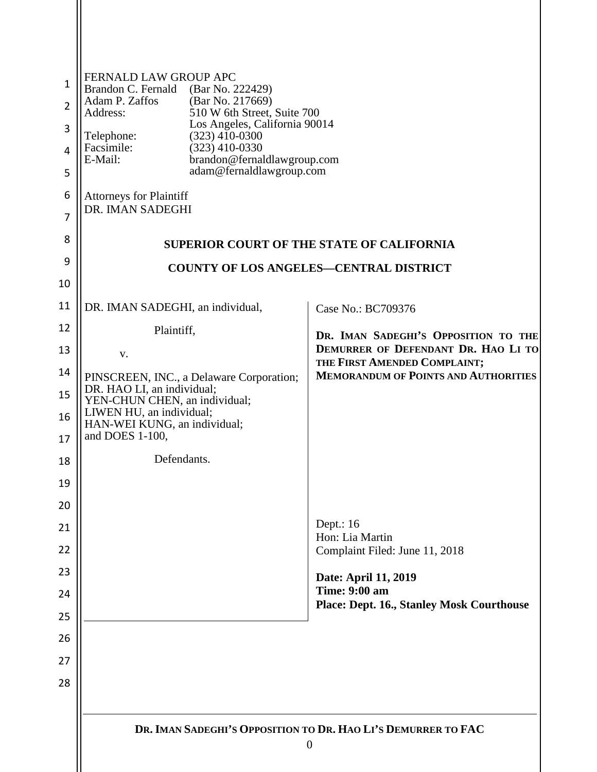| $\mathbf{1}$   | FERNALD LAW GROUP APC<br>Brandon C. Fernald<br>(Bar No. 222429)        |                                                                     |  |  |
|----------------|------------------------------------------------------------------------|---------------------------------------------------------------------|--|--|
| $\overline{2}$ | Adam P. Zaffos<br>(Bar No. 217669)<br>Address:                         | 510 W 6th Street, Suite 700                                         |  |  |
| 3              | Telephone:                                                             | Los Angeles, California 90014<br>$(323)$ 410-0300                   |  |  |
| 4              | Facsimile:<br>$(323)$ 410-0330<br>E-Mail:                              | brandon@fernaldlawgroup.com                                         |  |  |
| 5              | adam@fernaldlawgroup.com                                               |                                                                     |  |  |
| 6              | <b>Attorneys for Plaintiff</b>                                         |                                                                     |  |  |
| $\overline{7}$ | DR. IMAN SADEGHI                                                       |                                                                     |  |  |
| 8              | <b>SUPERIOR COURT OF THE STATE OF CALIFORNIA</b>                       |                                                                     |  |  |
| 9              |                                                                        | <b>COUNTY OF LOS ANGELES-CENTRAL DISTRICT</b>                       |  |  |
| 10             |                                                                        |                                                                     |  |  |
| 11             | DR. IMAN SADEGHI, an individual,                                       | Case No.: BC709376                                                  |  |  |
| 12             | Plaintiff,                                                             | DR. IMAN SADEGHI'S OPPOSITION TO THE                                |  |  |
| 13             | V.                                                                     | DEMURRER OF DEFENDANT DR. HAO LI TO<br>THE FIRST AMENDED COMPLAINT; |  |  |
| 14             | PINSCREEN, INC., a Delaware Corporation;<br>DR. HAO LI, an individual; | <b>MEMORANDUM OF POINTS AND AUTHORITIES</b>                         |  |  |
| 15             | YEN-CHUN CHEN, an individual;<br>LIWEN HU, an individual;              |                                                                     |  |  |
| 16             | HAN-WEI KUNG, an individual;                                           |                                                                     |  |  |
| 17             | and DOES 1-100,                                                        |                                                                     |  |  |
| 18             | Defendants.                                                            |                                                                     |  |  |
| 19<br>20       |                                                                        |                                                                     |  |  |
| 21             |                                                                        | Dept.: 16                                                           |  |  |
| 22             |                                                                        | Hon: Lia Martin<br>Complaint Filed: June 11, 2018                   |  |  |
| 23             |                                                                        | Date: April 11, 2019                                                |  |  |
| 24             |                                                                        | <b>Time: 9:00 am</b>                                                |  |  |
| 25             |                                                                        | <b>Place: Dept. 16., Stanley Mosk Courthouse</b>                    |  |  |
| 26             |                                                                        |                                                                     |  |  |
| 27             |                                                                        |                                                                     |  |  |
| 28             |                                                                        |                                                                     |  |  |
|                |                                                                        |                                                                     |  |  |
|                | DR. IMAN SADEGHI'S OPPOSITION TO DR. HAO LI'S DEMURRER TO FAC          |                                                                     |  |  |
|                |                                                                        | $\boldsymbol{0}$                                                    |  |  |
|                |                                                                        |                                                                     |  |  |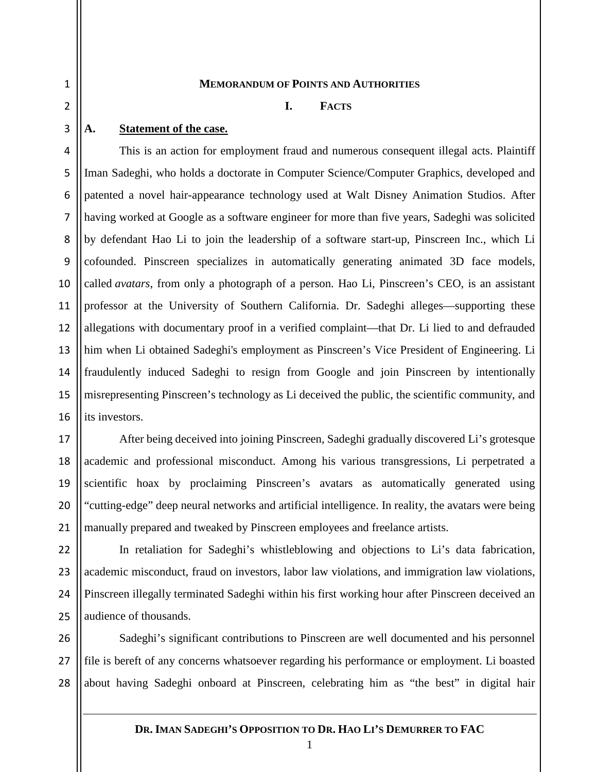3

17

18

19

20

21

1

#### **MEMORANDUM OF POINTS AND AUTHORITIES**

#### **I. FACTS**

#### **A. Statement of the case.**

4 5 6 7 8 9 10 11 12 13 14 15 16 This is an action for employment fraud and numerous consequent illegal acts. Plaintiff Iman Sadeghi, who holds a doctorate in Computer Science/Computer Graphics, developed and patented a novel hair-appearance technology used at Walt Disney Animation Studios. After having worked at Google as a software engineer for more than five years, Sadeghi was solicited by defendant Hao Li to join the leadership of a software start-up, Pinscreen Inc., which Li cofounded. Pinscreen specializes in automatically generating animated 3D face models, called *avatars*, from only a photograph of a person. Hao Li, Pinscreen's CEO, is an assistant professor at the University of Southern California. Dr. Sadeghi alleges—supporting these allegations with documentary proof in a verified complaint—that Dr. Li lied to and defrauded him when Li obtained Sadeghi's employment as Pinscreen's Vice President of Engineering. Li fraudulently induced Sadeghi to resign from Google and join Pinscreen by intentionally misrepresenting Pinscreen's technology as Li deceived the public, the scientific community, and its investors.

After being deceived into joining Pinscreen, Sadeghi gradually discovered Li's grotesque academic and professional misconduct. Among his various transgressions, Li perpetrated a scientific hoax by proclaiming Pinscreen's avatars as automatically generated using "cutting-edge" deep neural networks and artificial intelligence. In reality, the avatars were being manually prepared and tweaked by Pinscreen employees and freelance artists.

 $22$ 23 24 25 In retaliation for Sadeghi's whistleblowing and objections to Li's data fabrication, academic misconduct, fraud on investors, labor law violations, and immigration law violations, Pinscreen illegally terminated Sadeghi within his first working hour after Pinscreen deceived an audience of thousands.

26 27 28 Sadeghi's significant contributions to Pinscreen are well documented and his personnel file is bereft of any concerns whatsoever regarding his performance or employment. Li boasted about having Sadeghi onboard at Pinscreen, celebrating him as "the best" in digital hair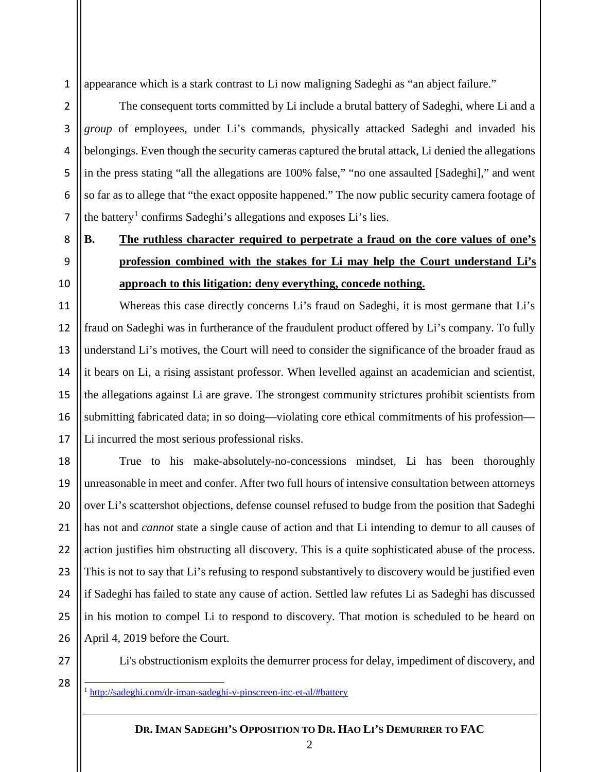1 appearance which is a stark contrast to Li now maligning Sadeghi as "an abject failure."

The consequent torts committed by Li include a brutal battery of Sadeghi, where Li and a *group* of employees, under Li's commands, physically attacked Sadeghi and invaded his belongings. Even though the security cameras captured the brutal attack, Li denied the allegations in the press stating "all the allegations are 100% false," "no one assaulted [Sadeghi]," and went so far as to allege that "the exact opposite happened." The now public security camera footage of the battery<sup>[1](#page-2-0)</sup> confirms Sadeghi's allegations and exposes Li's lies.

# **B. The ruthless character required to perpetrate a fraud on the core values of one's profession combined with the stakes for Li may help the Court understand Li's approach to this litigation: deny everything, concede nothing.**

Whereas this case directly concerns Li's fraud on Sadeghi, it is most germane that Li's fraud on Sadeghi was in furtherance of the fraudulent product offered by Li's company. To fully understand Li's motives, the Court will need to consider the significance of the broader fraud as it bears on Li, a rising assistant professor. When levelled against an academician and scientist, the allegations against Li are grave. The strongest community strictures prohibit scientists from submitting fabricated data; in so doing—violating core ethical commitments of his profession— Li incurred the most serious professional risks.

18 19 20 21  $22$ 23 24 25 26 True to his make-absolutely-no-concessions mindset, Li has been thoroughly unreasonable in meet and confer. After two full hours of intensive consultation between attorneys over Li's scattershot objections, defense counsel refused to budge from the position that Sadeghi has not and *cannot* state a single cause of action and that Li intending to demur to all causes of action justifies him obstructing all discovery. This is a quite sophisticated abuse of the process. This is not to say that Li's refusing to respond substantively to discovery would be justified even if Sadeghi has failed to state any cause of action. Settled law refutes Li as Sadeghi has discussed in his motion to compel Li to respond to discovery. That motion is scheduled to be heard on April 4, 2019 before the Court.

27

<span id="page-2-0"></span>28

2

3

4

5

6

7

8

9

10

11

12

13

14

15

16

17

Li's obstructionism exploits the demurrer process for delay, impediment of discovery, and

1 <http://sadeghi.com/dr-iman-sadeghi-v-pinscreen-inc-et-al/#battery>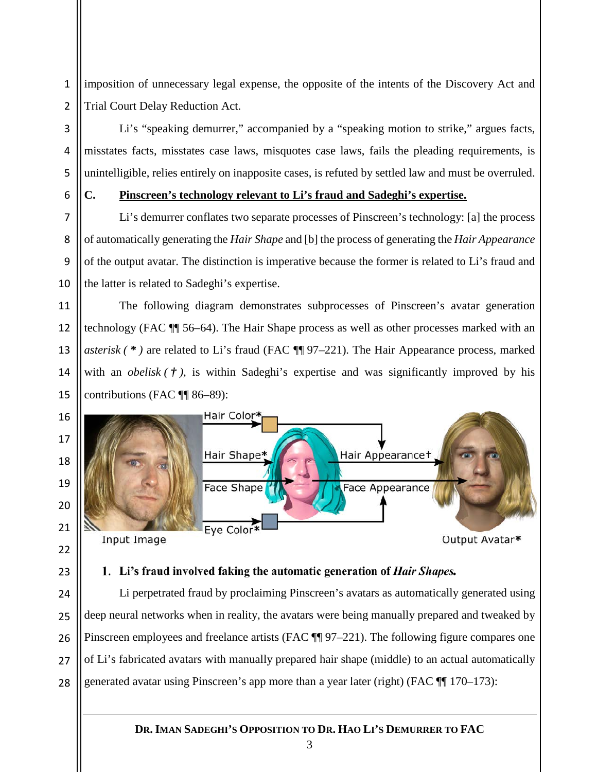1 2 imposition of unnecessary legal expense, the opposite of the intents of the Discovery Act and Trial Court Delay Reduction Act.

Li's "speaking demurrer," accompanied by a "speaking motion to strike," argues facts, misstates facts, misstates case laws, misquotes case laws, fails the pleading requirements, is unintelligible, relies entirely on inapposite cases, is refuted by settled law and must be overruled.

3

4

5

6

7

8

9

10

11

12

13

14

15

23

24

25

26

27

28

## **C. Pinscreen's technology relevant to Li's fraud and Sadeghi's expertise.**

Li's demurrer conflates two separate processes of Pinscreen's technology: [a] the process of automatically generating the *Hair Shape* and [b] the process of generating the *Hair Appearance* of the output avatar. The distinction is imperative because the former is related to Li's fraud and the latter is related to Sadeghi's expertise.

The following diagram demonstrates subprocesses of Pinscreen's avatar generation technology (FAC ¶¶ 56–64). The Hair Shape process as well as other processes marked with an *asterisk ( \* )* are related to Li's fraud (FAC ¶¶ 97–221). The Hair Appearance process, marked with an *obelisk*  $(\tau)$ , is within Sadeghi's expertise and was significantly improved by his contributions (FAC ¶¶ 86–89):



### 1. Li's fraud involved faking the automatic generation of *Hair Shapes*.

Li perpetrated fraud by proclaiming Pinscreen's avatars as automatically generated using deep neural networks when in reality, the avatars were being manually prepared and tweaked by Pinscreen employees and freelance artists (FAC  $\P$  97–221). The following figure compares one of Li's fabricated avatars with manually prepared hair shape (middle) to an actual automatically generated avatar using Pinscreen's app more than a year later (right) (FAC ¶¶ 170–173):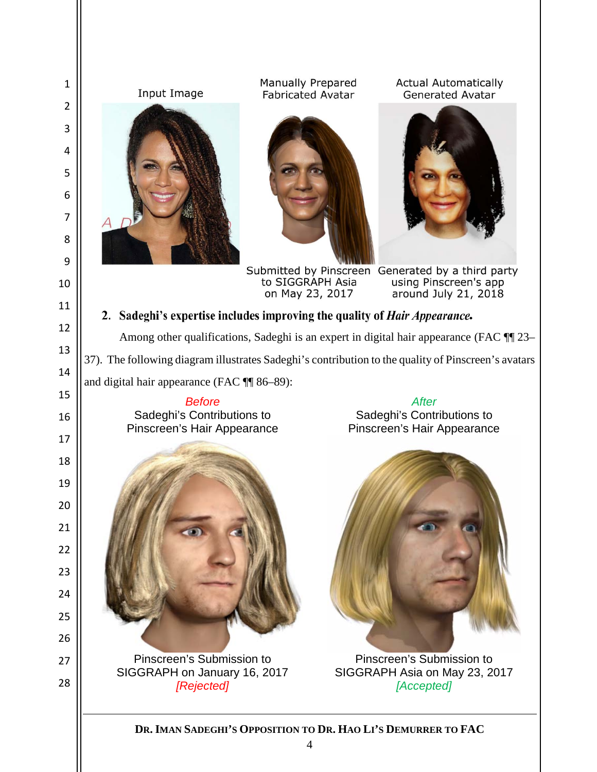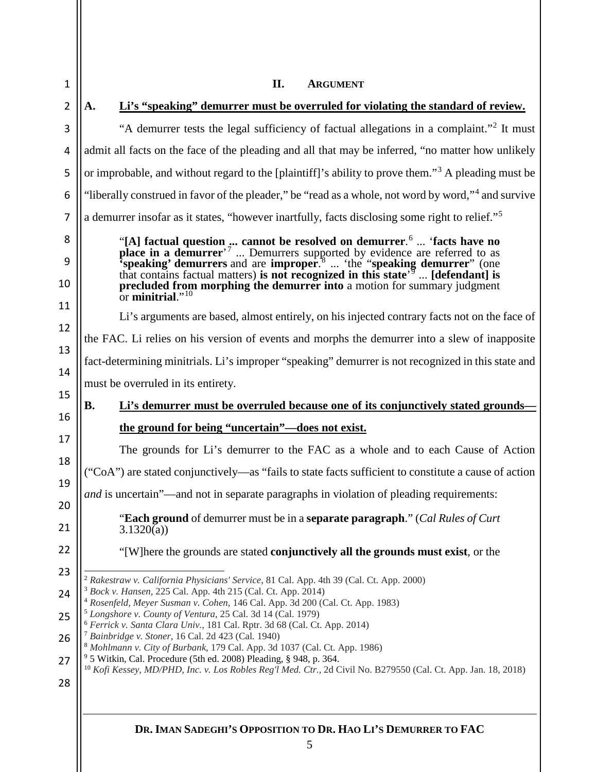<span id="page-5-8"></span><span id="page-5-7"></span><span id="page-5-6"></span><span id="page-5-5"></span><span id="page-5-4"></span><span id="page-5-3"></span><span id="page-5-2"></span><span id="page-5-1"></span><span id="page-5-0"></span>

| 1              | II.<br><b>ARGUMENT</b>                                                                                                                                                                                                                                                                                                                                  |  |  |
|----------------|---------------------------------------------------------------------------------------------------------------------------------------------------------------------------------------------------------------------------------------------------------------------------------------------------------------------------------------------------------|--|--|
| $\overline{2}$ | Li's "speaking" demurrer must be overruled for violating the standard of review.<br>A.                                                                                                                                                                                                                                                                  |  |  |
| 3              | "A demurrer tests the legal sufficiency of factual allegations in a complaint." <sup>2</sup> It must                                                                                                                                                                                                                                                    |  |  |
| 4              | admit all facts on the face of the pleading and all that may be inferred, "no matter how unlikely                                                                                                                                                                                                                                                       |  |  |
| 5              | or improbable, and without regard to the [plaintiff]'s ability to prove them." <sup>3</sup> A pleading must be                                                                                                                                                                                                                                          |  |  |
| 6              | "liberally construed in favor of the pleader," be "read as a whole, not word by word," <sup>4</sup> and survive                                                                                                                                                                                                                                         |  |  |
| 7              | a demurrer insofar as it states, "however inartfully, facts disclosing some right to relief." <sup>5</sup>                                                                                                                                                                                                                                              |  |  |
| 8<br>9<br>10   | "[A] factual question  cannot be resolved on demurrer. <sup>6</sup> 'facts have no place in a demurrer' <sup>7</sup> Demurrers supported by evidence are referred to as 'speaking' demurrers and are improper. <sup>8</sup> 'the "speaking d<br>precluded from morphing the demurrer into a motion for summary judgment<br>or minitrial." <sup>10</sup> |  |  |
| 11             |                                                                                                                                                                                                                                                                                                                                                         |  |  |
| 12             | Li's arguments are based, almost entirely, on his injected contrary facts not on the face of                                                                                                                                                                                                                                                            |  |  |
| 13             | the FAC. Li relies on his version of events and morphs the demurrer into a slew of inapposite<br>fact-determining minitrials. Li's improper "speaking" demurrer is not recognized in this state and<br>must be overruled in its entirety.                                                                                                               |  |  |
| 14             |                                                                                                                                                                                                                                                                                                                                                         |  |  |
| 15             |                                                                                                                                                                                                                                                                                                                                                         |  |  |
| 16             | Li's demurrer must be overruled because one of its conjunctively stated grounds-<br><b>B.</b>                                                                                                                                                                                                                                                           |  |  |
| 17             | the ground for being "uncertain"—does not exist.                                                                                                                                                                                                                                                                                                        |  |  |
| 18             | The grounds for Li's demurrer to the FAC as a whole and to each Cause of Action                                                                                                                                                                                                                                                                         |  |  |
| 19             | "CoA") are stated conjunctively—as "fails to state facts sufficient to constitute a cause of action                                                                                                                                                                                                                                                     |  |  |
| 20             | and is uncertain"—and not in separate paragraphs in violation of pleading requirements:                                                                                                                                                                                                                                                                 |  |  |
| 21             | "Each ground of demurrer must be in a separate paragraph." (Cal Rules of Curt<br>3.1320(a)                                                                                                                                                                                                                                                              |  |  |
| 22             | "[W] here the grounds are stated conjunctively all the grounds must exist, or the                                                                                                                                                                                                                                                                       |  |  |
| 23             | <sup>2</sup> Rakestraw v. California Physicians' Service, 81 Cal. App. 4th 39 (Cal. Ct. App. 2000)                                                                                                                                                                                                                                                      |  |  |
| 24             | <sup>3</sup> Bock v. Hansen, 225 Cal. App. 4th 215 (Cal. Ct. App. 2014)<br><sup>4</sup> Rosenfeld, Meyer Susman v. Cohen, 146 Cal. App. 3d 200 (Cal. Ct. App. 1983)                                                                                                                                                                                     |  |  |
| 25             | <sup>5</sup> Longshore v. County of Ventura, 25 Cal. 3d 14 (Cal. 1979)<br><sup>6</sup> Ferrick v. Santa Clara Univ., 181 Cal. Rptr. 3d 68 (Cal. Ct. App. 2014)                                                                                                                                                                                          |  |  |
| 26             | <sup>7</sup> Bainbridge v. Stoner, 16 Cal. 2d 423 (Cal. 1940)<br><sup>8</sup> Mohlmann v. City of Burbank, 179 Cal. App. 3d 1037 (Cal. Ct. App. 1986)<br><sup>9</sup> 5 Witkin, Cal. Procedure (5th ed. 2008) Pleading, § 948, p. 364.                                                                                                                  |  |  |
| 27             |                                                                                                                                                                                                                                                                                                                                                         |  |  |
| 28             | <sup>10</sup> Kofi Kessey, MD/PHD, Inc. v. Los Robles Reg'l Med. Ctr., 2d Civil No. B279550 (Cal. Ct. App. Jan. 18, 2018)                                                                                                                                                                                                                               |  |  |
|                |                                                                                                                                                                                                                                                                                                                                                         |  |  |
|                |                                                                                                                                                                                                                                                                                                                                                         |  |  |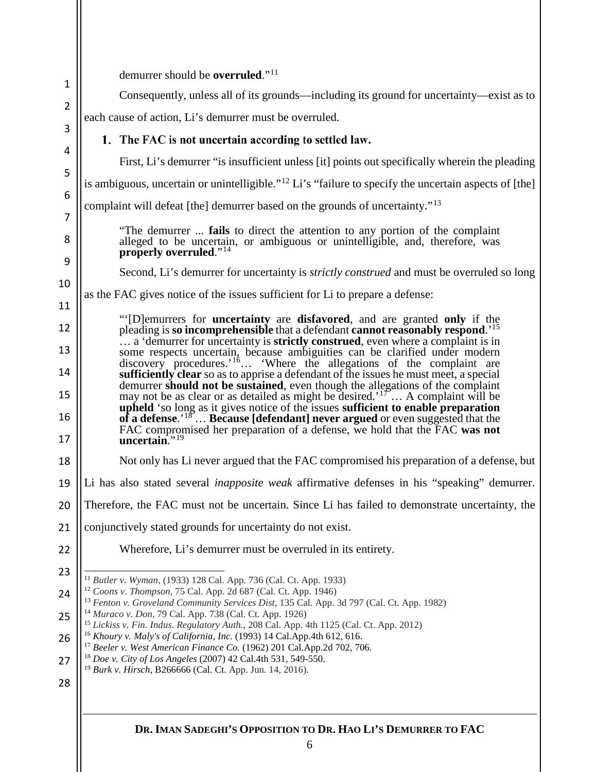<span id="page-6-8"></span><span id="page-6-7"></span><span id="page-6-6"></span><span id="page-6-5"></span><span id="page-6-4"></span><span id="page-6-3"></span><span id="page-6-2"></span><span id="page-6-1"></span><span id="page-6-0"></span>

| $\mathbf{1}$   | demurrer should be <b>overruled</b> ." <sup>11</sup>                                                                                                                                                                                                 |  |  |
|----------------|------------------------------------------------------------------------------------------------------------------------------------------------------------------------------------------------------------------------------------------------------|--|--|
| $\overline{2}$ | Consequently, unless all of its grounds—including its ground for uncertainty—exist as to                                                                                                                                                             |  |  |
| 3              | each cause of action, Li's demurrer must be overruled.                                                                                                                                                                                               |  |  |
|                | 1. The FAC is not uncertain according to settled law.                                                                                                                                                                                                |  |  |
| 4<br>5         | First, Li's demurrer "is insufficient unless [it] points out specifically wherein the pleading                                                                                                                                                       |  |  |
| 6              | is ambiguous, uncertain or unintelligible." <sup>12</sup> Li's "failure to specify the uncertain aspects of [the]                                                                                                                                    |  |  |
| 7              | complaint will defeat [the] demurrer based on the grounds of uncertainty." <sup>13</sup>                                                                                                                                                             |  |  |
| 8<br>9         | "The demurrer  fails to direct the attention to any portion of the complaint<br>alleged to be uncertain, or ambiguous or unintelligible, and, therefore, was<br>properly overruled." <sup>14</sup>                                                   |  |  |
|                | Second, Li's demurrer for uncertainty is <i>strictly construed</i> and must be overruled so long                                                                                                                                                     |  |  |
| 10<br>11       | as the FAC gives notice of the issues sufficient for Li to prepare a defense:                                                                                                                                                                        |  |  |
|                | "[D] emurrers for <b>uncertainty</b> are <b>disfavored</b> , and are granted only if the                                                                                                                                                             |  |  |
| 12<br>13       | pleading is so incomprehensible that a defendant cannot reasonably respond. <sup>15</sup><br>a 'demurrer for uncertainty is <b>strictly construed</b> , even where a complaint is in                                                                 |  |  |
| 14             | some respects uncertain, because ambiguities can be clarified under modern discovery procedures.' <sup>16</sup> 'Where the allegations of the complaint are<br>sufficiently clear so as to apprise a defendant of the issues he must meet, a special |  |  |
| 15             | demurrer should not be sustained, even though the allegations of the complaint<br>may not be as clear or as detailed as might be desired. <sup>'17</sup> A complaint will be                                                                         |  |  |
| 16             | <b>upheld</b> 'so long as it gives notice of the issues <b>sufficient to enable preparation</b> of a defense. <sup>18</sup> Because [defendant] never argued or even suggested that the                                                              |  |  |
| 17             | FAC compromised her preparation of a defense, we hold that the FAC was not<br>$uncertain.^{19}$                                                                                                                                                      |  |  |
| 18             | Not only has Li never argued that the FAC compromised his preparation of a defense, but                                                                                                                                                              |  |  |
| 19             | Li has also stated several <i>inapposite weak</i> affirmative defenses in his "speaking" demurrer.                                                                                                                                                   |  |  |
| 20             | Therefore, the FAC must not be uncertain. Since Li has failed to demonstrate uncertainty, the                                                                                                                                                        |  |  |
| 21             | conjunctively stated grounds for uncertainty do not exist.                                                                                                                                                                                           |  |  |
| 22             | Wherefore, Li's demurrer must be overruled in its entirety.                                                                                                                                                                                          |  |  |
| 23             | <sup>11</sup> Butler v. Wyman, (1933) 128 Cal. App. 736 (Cal. Ct. App. 1933)                                                                                                                                                                         |  |  |
| 24             | <sup>12</sup> Coons v. Thompson, 75 Cal. App. 2d 687 (Cal. Ct. App. 1946)<br><sup>13</sup> Fenton v. Groveland Community Services Dist, 135 Cal. App. 3d 797 (Cal. Ct. App. 1982)                                                                    |  |  |
| 25             | <sup>14</sup> Muraco v. Don, 79 Cal. App. 738 (Cal. Ct. App. 1926)<br><sup>15</sup> Lickiss v. Fin. Indus. Regulatory Auth., 208 Cal. App. 4th 1125 (Cal. Ct. App. 2012)                                                                             |  |  |
| 26             | <sup>16</sup> Khoury v. Maly's of California, Inc. (1993) 14 Cal.App.4th 612, 616.<br><sup>17</sup> Beeler v. West American Finance Co. (1962) 201 Cal.App.2d 702, 706.                                                                              |  |  |
| 27             | <sup>18</sup> Doe v. City of Los Angeles (2007) 42 Cal.4th 531, 549-550.<br><sup>19</sup> Burk v. Hirsch, B266666 (Cal. Ct. App. Jun. 14, 2016).                                                                                                     |  |  |
| 28             |                                                                                                                                                                                                                                                      |  |  |
|                |                                                                                                                                                                                                                                                      |  |  |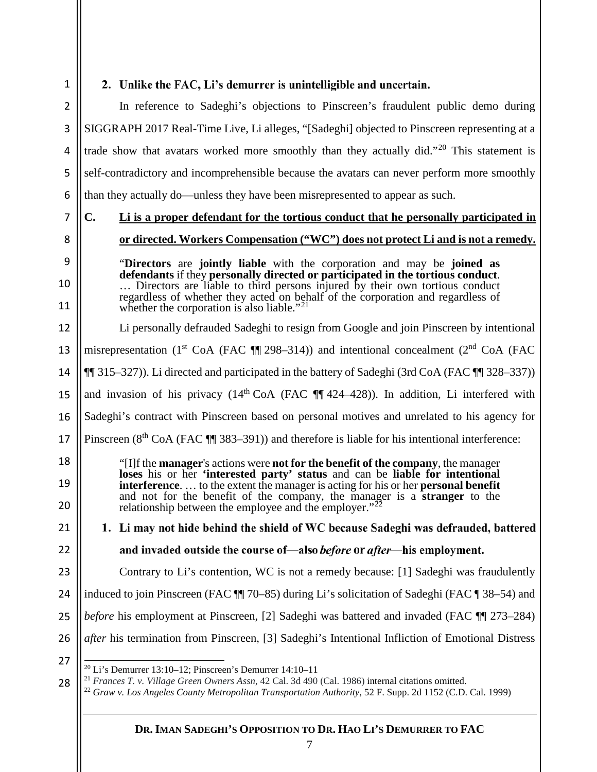## 2. Unlike the FAC, Li's demurrer is unintelligible and uncertain.

2 3 4 In reference to Sadeghi's objections to Pinscreen's fraudulent public demo during SIGGRAPH 2017 Real-Time Live, Li alleges, "[Sadeghi] objected to Pinscreen representing at a trade show that avatars worked more smoothly than they actually did."<sup>[20](#page-7-0)</sup> This statement is self-contradictory and incomprehensible because the avatars can never perform more smoothly than they actually do—unless they have been misrepresented to appear as such.

7

5

6

**C. Li is a proper defendant for the tortious conduct that he personally participated in**

## 8

9

10

11

12

13

**or directed. Workers Compensation ("WC") does not protect Li and is not a remedy.** "**Directors** are **jointly liable** with the corporation and may be **joined as** 

**defendants** if they **personally directed or participated in the tortious conduct**. … Directors are liable to third persons injured by their own tortious conduct regardless of whether they acted on behalf of the corporation and regardless of whether the corporation is also liable."<sup>[21](#page-7-1)</sup>

Li personally defrauded Sadeghi to resign from Google and join Pinscreen by intentional

misrepresentation (1<sup>st</sup> CoA (FAC  $\P$  298–314)) and intentional concealment (2<sup>nd</sup> CoA (FAC

14 ¶¶ 315–327)). Li directed and participated in the battery of Sadeghi (3rd CoA (FAC ¶¶ 328–337))

15 and invasion of his privacy  $(14<sup>th</sup> CoA (FAC  $\P\P 424-428)$ ). In addition, Li interfered with$ 

16 Sadeghi's contract with Pinscreen based on personal motives and unrelated to his agency for

17 Pinscreen (8<sup>th</sup> CoA (FAC ¶¶ 383–391)) and therefore is liable for his intentional interference:

"[I]f the **manager**'s actions were **not for the benefit of the company**, the manager **loses** his or her **'interested party' status** and can be **liable for intentional interference**. … to the extent the manager is acting for his or her **personal benefit** and not for the benefit of the company, the manager is a **stranger** to the relationship between the employee and the employer."<sup>2</sup>

21  $22$ 

23

18

19

20

1. Li may not hide behind the shield of WC because Sadeghi was defrauded, battered

## and invaded outside the course of—also *before* or *after*—his employment.

Contrary to Li's contention, WC is not a remedy because: [1] Sadeghi was fraudulently

24 induced to join Pinscreen (FAC ¶¶ 70–85) during Li's solicitation of Sadeghi (FAC ¶ 38–54) and

- 25 *before* his employment at Pinscreen, [2] Sadeghi was battered and invaded (FAC  $\P$  173–284)
- 26 *after* his termination from Pinscreen, [3] Sadeghi's Intentional Infliction of Emotional Distress
- <span id="page-7-0"></span>27

<span id="page-7-2"></span><span id="page-7-1"></span>28 <sup>21</sup> *Frances T. v. Village Green Owners Assn*, 42 Cal. 3d 490 (Cal. 1986) internal citations omitted.

 $20$  Li's Demurrer 13:10–12; Pinscreen's Demurrer 14:10–11

<sup>22</sup> *Graw v. Los Angeles County Metropolitan Transportation Authority*, 52 F. Supp. 2d 1152 (C.D. Cal. 1999)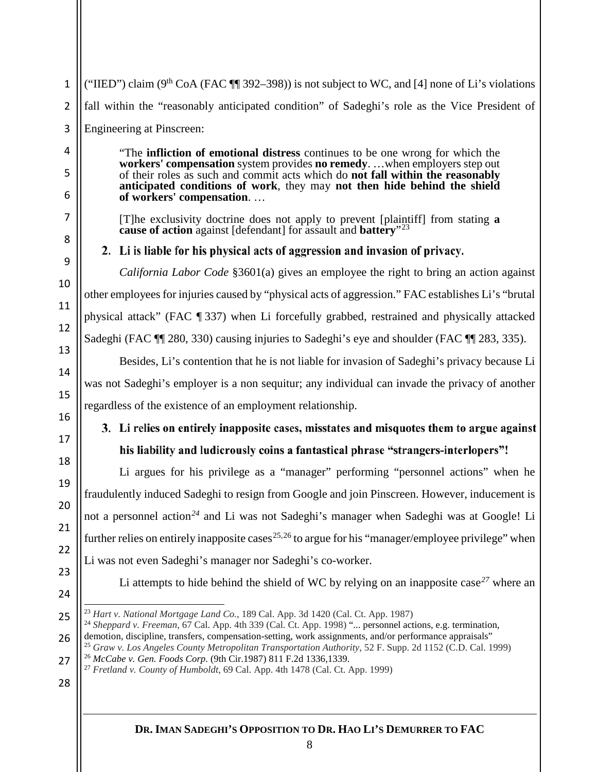1 2 3 ("IIED") claim ( $9<sup>th</sup> CoA$  (FAC  $\P$  392–398)) is not subject to WC, and [4] none of Li's violations fall within the "reasonably anticipated condition" of Sadeghi's role as the Vice President of Engineering at Pinscreen:

> "The **infliction of emotional distress** continues to be one wrong for which the **workers' compensation** system provides **no remedy**. …when employers step out of their roles as such and commit acts which do **not fall within the reasonably anticipated conditions of work**, they may **not then hide behind the shield of workers' compensation**. …

[T]he exclusivity doctrine does not apply to prevent [plaintiff] from stating **a cause of action** against [defendant] for assault and **battery**"[23](#page-8-0)

2. Li is liable for his physical acts of aggression and invasion of privacy.

*California Labor Code* §3601(a) gives an employee the right to bring an action against other employees for injuries caused by "physical acts of aggression." FAC establishes Li's "brutal physical attack" (FAC ¶ 337) when Li forcefully grabbed, restrained and physically attacked Sadeghi (FAC ¶¶ 280, 330) causing injuries to Sadeghi's eye and shoulder (FAC ¶¶ 283, 335).

Besides, Li's contention that he is not liable for invasion of Sadeghi's privacy because Li was not Sadeghi's employer is a non sequitur; any individual can invade the privacy of another regardless of the existence of an employment relationship.

# 3. Li relies on entirely inapposite cases, misstates and misquotes them to argue against his liability and ludicrously coins a fantastical phrase "strangers-interlopers"!

Li argues for his privilege as a "manager" performing "personnel actions" when he fraudulently induced Sadeghi to resign from Google and join Pinscreen. However, inducement is not a personnel action*[24](#page-8-1)* and Li was not Sadeghi's manager when Sadeghi was at Google! Li further relies on entirely inapposite cases<sup>[25](#page-8-2),[26](#page-8-3)</sup> to argue for his "manager/employee privilege" when Li was not even Sadeghi's manager nor Sadeghi's co-worker.

Li attempts to hide behind the shield of WC by relying on an inapposite case*[27](#page-8-4)* where an

24 25

4

5

6

7

8

9

10

11

12

13

14

15

16

17

18

19

20

21

22

23

- <sup>27</sup> *Fretland v. County of Humboldt*, 69 Cal. App. 4th 1478 (Cal. Ct. App. 1999)
- 28

 <sup>23</sup> *Hart v. National Mortgage Land Co.*, 189 Cal. App. 3d 1420 (Cal. Ct. App. 1987)

<span id="page-8-1"></span><span id="page-8-0"></span><sup>26</sup> <sup>24</sup> Sheppard v. Freeman, 67 Cal. App. 4th 339 (Cal. Ct. App. 1998) "... personnel actions, e.g. termination, demotion, discipline, transfers, compensation-setting, work assignments, and/or performance appraisals" <sup>25</sup> *Graw v. Los Angeles County Metropolitan Transportation Authority*, 52 F. Supp. 2d 1152 (C.D. Cal. 1999)

<span id="page-8-4"></span><span id="page-8-3"></span><span id="page-8-2"></span><sup>27</sup> <sup>26</sup> *McCabe v. Gen. Foods Corp.* (9th Cir.1987) 811 F.2d 1336,1339.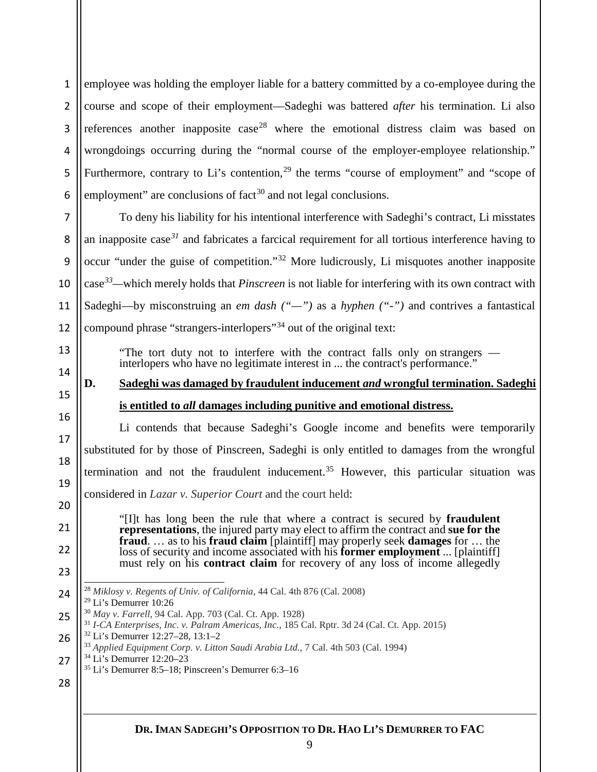employee was holding the employer liable for a battery committed by a co-employee during the course and scope of their employment—Sadeghi was battered *after* his termination. Li also references another inapposite  $case^{28}$  $case^{28}$  $case^{28}$  where the emotional distress claim was based on wrongdoings occurring during the "normal course of the employer-employee relationship." Furthermore, contrary to Li's contention, the terms "course of employment" and "scope of employment" are conclusions of  $fact^{30}$  $fact^{30}$  $fact^{30}$  and not legal conclusions.

 To deny his liability for his intentional interference with Sadeghi's contract, Li misstates an inapposite case*[31](#page-9-3)* and fabricates a farcical requirement for all tortious interference having to occur "under the guise of competition."[32](#page-9-4) More ludicrously, Li misquotes another inapposite case*[33—](#page-9-5)*which merely holds that *Pinscreen* is not liable for interfering with its own contract with Sadeghi—by misconstruing an *em dash ("—")* as a *hyphen ("-")* and contrives a fantastical compound phrase "strangers-interlopers"[34](#page-9-6) out of the original text:

"The tort duty not to interfere with the contract falls only on strangers — interlopers who have no legitimate interest in ... the contract's performance."

# **D. Sadeghi was damaged by fraudulent inducement** *and* **wrongful termination. Sadeghi is entitled to** *all* **damages including punitive and emotional distress.**

Li contends that because Sadeghi's Google income and benefits were temporarily substituted for by those of Pinscreen, Sadeghi is only entitled to damages from the wrongful termination and not the fraudulent inducement. [35](#page-9-7) However, this particular situation was considered in *Lazar v. Superior Court* and the court held:

"[I]t has long been the rule that where a contract is secured by **fraudulent representations**, the injured party may elect to affirm the contract and **sue for the fraud**. … as to his **fraud claim** [plaintiff] may properly seek **damages** for … the loss of security and income associated with his **former employment** ... [plaintiff] must rely on his **contract claim** for recovery of any loss of income allegedly

<span id="page-9-4"></span><span id="page-9-3"></span>

## 

<span id="page-9-1"></span><span id="page-9-0"></span> *Miklosy v. Regents of Univ. of California*, 44 Cal. 4th 876 (Cal. 2008) Li's Demurrer 10:26

<span id="page-9-2"></span> *May v. Farrell*, 94 Cal. App. 703 (Cal. Ct. App. 1928)

*I-CA Enterprises, Inc. v. Palram Americas, Inc.*, 185 Cal. Rptr. 3d 24 (Cal. Ct. App. 2015)

Li's Demurrer 12:27–28, 13:1–2 33 *Applied Equipment Corp. v. Litton Saudi Arabia Ltd.*, 7 Cal. 4th 503 (Cal. 1994)

<span id="page-9-7"></span><span id="page-9-6"></span><span id="page-9-5"></span> Li's Demurrer 12:20–23

Li's Demurrer 8:5–18; Pinscreen's Demurrer 6:3–16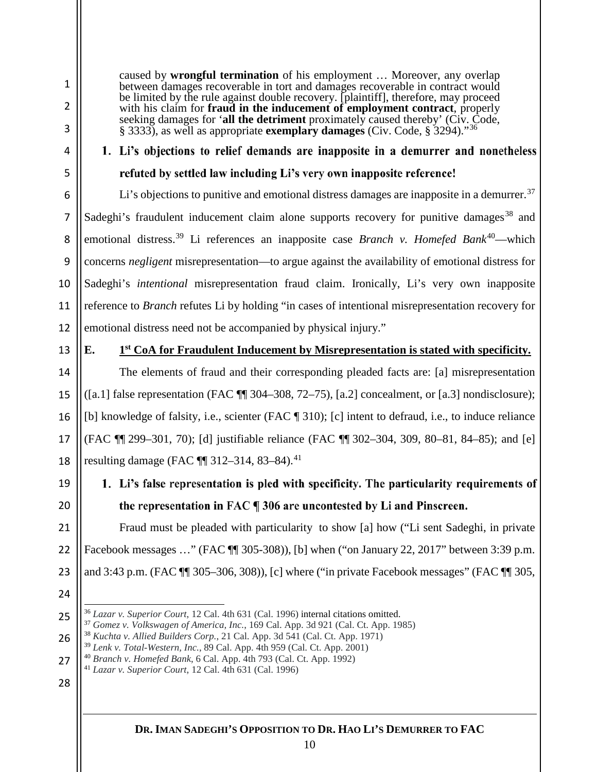1

caused by **wrongful termination** of his employment … Moreover, any overlap between damages recoverable in tort and damages recoverable in contract would be limited by the rule against double recovery. [plaintiff], therefore, may proceed with his claim for **fraud in the inducement of employment contract**, properly seeking damages for '**all the detriment** proximately caused thereby' (Civ. Code, § 3333), as well as appropriate **exemplary damages** (Civ. Code, § 3294)."[36](#page-10-0)

# 1. Li's objections to relief demands are inapposite in a demurrer and nonetheless refuted by settled law including Li's very own inapposite reference!

Li's objections to punitive and emotional distress damages are inapposite in a demurrer.<sup>[37](#page-10-1)</sup> Sadeghi's fraudulent inducement claim alone supports recovery for punitive damages<sup>[38](#page-10-2)</sup> and emotional distress.<sup>[39](#page-10-3)</sup> Li references an inapposite case *Branch v. Homefed Bank*<sup>40</sup>—which concerns *negligent* misrepresentation—to argue against the availability of emotional distress for Sadeghi's *intentional* misrepresentation fraud claim. Ironically, Li's very own inapposite reference to *Branch* refutes Li by holding "in cases of intentional misrepresentation recovery for emotional distress need not be accompanied by physical injury."

13

14

15

16

17

18

19

20

## **E. 1st CoA for Fraudulent Inducement by Misrepresentation is stated with specificity.**

The elements of fraud and their corresponding pleaded facts are: [a] misrepresentation ([a.1] false representation (FAC  $\P$  304–308, 72–75), [a.2] concealment, or [a.3] nondisclosure); [b] knowledge of falsity, i.e., scienter (FAC ¶ 310); [c] intent to defraud, i.e., to induce reliance (FAC ¶¶ 299–301, 70); [d] justifiable reliance (FAC ¶¶ 302–304, 309, 80–81, 84–85); and [e] resulting damage (FAC ¶¶ 312–314, 83–84).<sup>[41](#page-10-5)</sup>

# 1. Li's false representation is pled with specificity. The particularity requirements of the representation in FAC ¶ 306 are uncontested by Li and Pinscreen.

21 22 23 Fraud must be pleaded with particularity to show [a] how ("Li sent Sadeghi, in private Facebook messages ..." (FAC  $\blacksquare$  305-308)), [b] when ("on January 22, 2017" between 3:39 p.m. and 3:43 p.m. (FAC ¶¶ 305–306, 308)), [c] where ("in private Facebook messages" (FAC ¶¶ 305,

24

<span id="page-10-1"></span><span id="page-10-0"></span>25

<span id="page-10-3"></span><span id="page-10-2"></span>26

- <sup>38</sup> *Kuchta v. Allied Builders Corp.*, 21 Cal. App. 3d 541 (Cal. Ct. App. 1971)
- <sup>40</sup> *Branch v. Homefed Bank*, 6 Cal. App. 4th 793 (Cal. Ct. App. 1992)
- <span id="page-10-5"></span><span id="page-10-4"></span>27 <sup>41</sup> *Lazar v. Superior Court*, 12 Cal. 4th 631 (Cal. 1996)
- 28

 <sup>36</sup> *Lazar v. Superior Court*, 12 Cal. 4th 631 (Cal. 1996) internal citations omitted.

<sup>37</sup> *Gomez v. Volkswagen of America, Inc.*, 169 Cal. App. 3d 921 (Cal. Ct. App. 1985)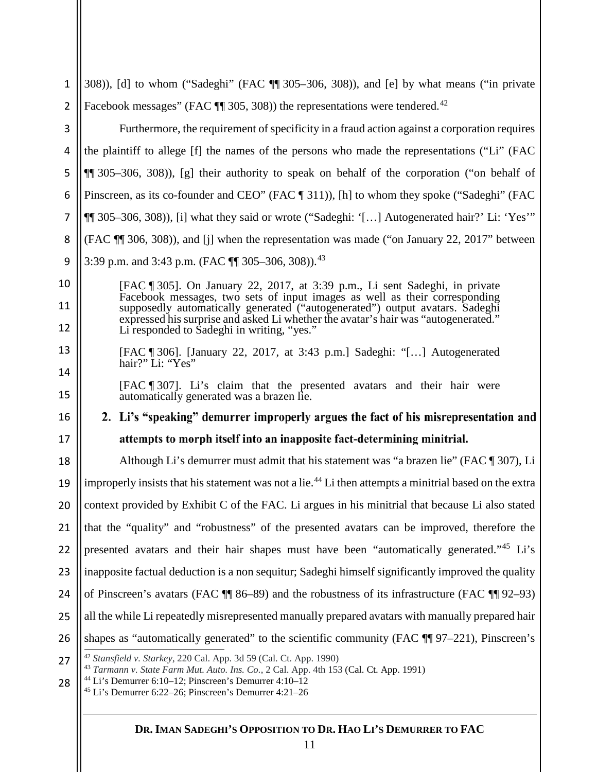<span id="page-11-3"></span><span id="page-11-2"></span><span id="page-11-1"></span><span id="page-11-0"></span>

| $\mathbf{1}$ | 308)), [d] to whom ("Sadeghi" (FAC ¶ 305–306, 308)), and [e] by what means ("in private                                                                                                                                                                                                                                      |  |  |
|--------------|------------------------------------------------------------------------------------------------------------------------------------------------------------------------------------------------------------------------------------------------------------------------------------------------------------------------------|--|--|
| 2            | Facebook messages" (FAC $\P$ 305, 308)) the representations were tendered. <sup>42</sup>                                                                                                                                                                                                                                     |  |  |
| 3            | Furthermore, the requirement of specificity in a fraud action against a corporation requires                                                                                                                                                                                                                                 |  |  |
| 4            | the plaintiff to allege [f] the names of the persons who made the representations ("Li" (FAC                                                                                                                                                                                                                                 |  |  |
| 5            | $\P$ [305–306, 308)), [g] their authority to speak on behalf of the corporation ("on behalf of                                                                                                                                                                                                                               |  |  |
| 6            | Pinscreen, as its co-founder and CEO" (FAC [311)), [h] to whom they spoke ("Sadeghi" (FAC                                                                                                                                                                                                                                    |  |  |
| 7            | [1] 305–306, 308)), [i] what they said or wrote ("Sadeghi: '[] Autogenerated hair?' Li: 'Yes'"                                                                                                                                                                                                                               |  |  |
| 8            | (FAC ¶ 306, 308)), and [j] when the representation was made ("on January 22, 2017" between                                                                                                                                                                                                                                   |  |  |
| 9            | 3:39 p.m. and 3:43 p.m. (FAC ¶ 305-306, 308)). <sup>43</sup>                                                                                                                                                                                                                                                                 |  |  |
| 10           | [FAC ¶ 305]. On January 22, 2017, at 3:39 p.m., Li sent Sadeghi, in private                                                                                                                                                                                                                                                  |  |  |
| 11           | Facebook messages, two sets of input images as well as their corresponding<br>supposedly automatically generated ("autogenerated") output avatars. Sadeghi                                                                                                                                                                   |  |  |
| 12           | expressed his surprise and asked Li whether the avatar's hair was "autogenerated."<br>Li responded to Sadeghi in writing, "yes."                                                                                                                                                                                             |  |  |
| 13           | [FAC \ 306]. [January 22, 2017, at 3:43 p.m.] Sadeghi: "[] Autogenerated<br>hair?" Li: "Yes"                                                                                                                                                                                                                                 |  |  |
| 14           | [FAC [1] 307]. Li's claim that the presented avatars and their hair were                                                                                                                                                                                                                                                     |  |  |
| 15           | automatically generated was a brazen lie.                                                                                                                                                                                                                                                                                    |  |  |
| 16           | 2. Li's "speaking" demurrer improperly argues the fact of his misrepresentation and                                                                                                                                                                                                                                          |  |  |
| 17           | attempts to morph itself into an inapposite fact-determining minitrial.                                                                                                                                                                                                                                                      |  |  |
| 18           | Although Li's demurrer must admit that his statement was "a brazen lie" (FAC ¶ 307), Li                                                                                                                                                                                                                                      |  |  |
| 19           | improperly insists that his statement was not a lie. <sup>44</sup> Li then attempts a minitrial based on the extra                                                                                                                                                                                                           |  |  |
|              | 20    context provided by Exhibit C of the FAC. Li argues in his minitrial that because Li also stated                                                                                                                                                                                                                       |  |  |
| 21           | that the "quality" and "robustness" of the presented avatars can be improved, therefore the                                                                                                                                                                                                                                  |  |  |
| 22           | presented avatars and their hair shapes must have been "automatically generated." <sup>45</sup> Li's                                                                                                                                                                                                                         |  |  |
| 23           | inapposite factual deduction is a non sequitur; Sadeghi himself significantly improved the quality                                                                                                                                                                                                                           |  |  |
| 24           | of Pinscreen's avatars (FAC $\P$ 86–89) and the robustness of its infrastructure (FAC $\P$ 92–93)                                                                                                                                                                                                                            |  |  |
| 25           | all the while Li repeatedly misrepresented manually prepared avatars with manually prepared hair                                                                                                                                                                                                                             |  |  |
| 26           | shapes as "automatically generated" to the scientific community (FAC ¶ 97–221), Pinscreen's                                                                                                                                                                                                                                  |  |  |
| 27           | <sup>42</sup> Stansfield v. Starkey, 220 Cal. App. 3d 59 (Cal. Ct. App. 1990)<br><sup>43</sup> Tarmann v. State Farm Mut. Auto. Ins. Co., 2 Cal. App. 4th 153 (Cal. Ct. App. 1991)<br><sup>44</sup> Li's Demurrer 6:10-12; Pinscreen's Demurrer 4:10-12<br><sup>45</sup> Li's Demurrer 6:22-26; Pinscreen's Demurrer 4:21-26 |  |  |
| 28           |                                                                                                                                                                                                                                                                                                                              |  |  |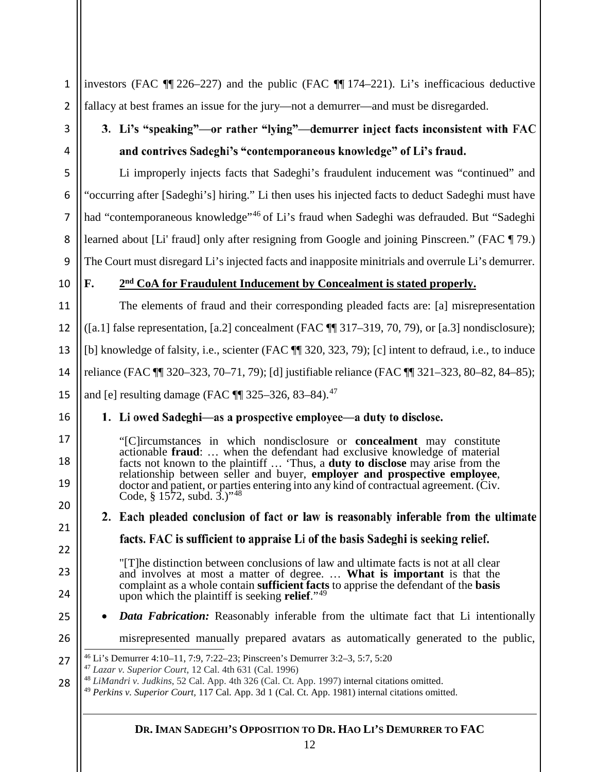<span id="page-12-3"></span><span id="page-12-2"></span><span id="page-12-1"></span><span id="page-12-0"></span>

| $\mathbf{1}$   | investors (FAC $\P$ 226–227) and the public (FAC $\P$ 174–221). Li's inefficacious deductive                                                                                                                                                                                          |                                                                                                                                                                                                  |  |
|----------------|---------------------------------------------------------------------------------------------------------------------------------------------------------------------------------------------------------------------------------------------------------------------------------------|--------------------------------------------------------------------------------------------------------------------------------------------------------------------------------------------------|--|
| $\overline{2}$ | fallacy at best frames an issue for the jury—not a demurrer—and must be disregarded.                                                                                                                                                                                                  |                                                                                                                                                                                                  |  |
| 3              | 3. Li's "speaking"—or rather "lying"—demurrer inject facts inconsistent with FAC                                                                                                                                                                                                      |                                                                                                                                                                                                  |  |
| 4              |                                                                                                                                                                                                                                                                                       | and contrives Sadeghi's "contemporaneous knowledge" of Li's fraud.                                                                                                                               |  |
| 5              |                                                                                                                                                                                                                                                                                       | Li improperly injects facts that Sadeghi's fraudulent inducement was "continued" and                                                                                                             |  |
| 6              | "occurring after [Sadeghi's] hiring." Li then uses his injected facts to deduct Sadeghi must have                                                                                                                                                                                     |                                                                                                                                                                                                  |  |
| $\overline{7}$ | had "contemporaneous knowledge" <sup>46</sup> of Li's fraud when Sadeghi was defrauded. But "Sadeghi                                                                                                                                                                                  |                                                                                                                                                                                                  |  |
| 8              | learned about [Li' fraud] only after resigning from Google and joining Pinscreen." (FAC ¶ 79.)                                                                                                                                                                                        |                                                                                                                                                                                                  |  |
| 9              | The Court must disregard Li's injected facts and inapposite minitrials and overrule Li's demurrer.                                                                                                                                                                                    |                                                                                                                                                                                                  |  |
| 10             | F.<br>2 <sup>nd</sup> CoA for Fraudulent Inducement by Concealment is stated properly.                                                                                                                                                                                                |                                                                                                                                                                                                  |  |
| 11             |                                                                                                                                                                                                                                                                                       | The elements of fraud and their corresponding pleaded facts are: [a] misrepresentation                                                                                                           |  |
| 12             | ([a.1] false representation, [a.2] concealment (FAC $\P$ 317–319, 70, 79), or [a.3] nondisclosure);                                                                                                                                                                                   |                                                                                                                                                                                                  |  |
| 13             | [b] knowledge of falsity, i.e., scienter (FAC ¶ 320, 323, 79); [c] intent to defraud, i.e., to induce                                                                                                                                                                                 |                                                                                                                                                                                                  |  |
| 14             | reliance (FAC ¶ 320–323, 70–71, 79); [d] justifiable reliance (FAC ¶ 321–323, 80–82, 84–85);                                                                                                                                                                                          |                                                                                                                                                                                                  |  |
| 15             |                                                                                                                                                                                                                                                                                       | and [e] resulting damage (FAC ¶ 325-326, 83-84). <sup>47</sup>                                                                                                                                   |  |
| 16             | 1. Li owed Sadeghi—as a prospective employee—a duty to disclose.                                                                                                                                                                                                                      |                                                                                                                                                                                                  |  |
| 17             |                                                                                                                                                                                                                                                                                       | "[C]ircumstances in which nondisclosure or <b>concealment</b> may constitute                                                                                                                     |  |
| 18             |                                                                                                                                                                                                                                                                                       | actionable fraud:  when the defendant had exclusive knowledge of material<br>facts not known to the plaintiff  'Thus, a <b>duty to disclose</b> may arise from the                               |  |
| 19             |                                                                                                                                                                                                                                                                                       | relationship between seller and buyer, employer and prospective employee,<br>doctor and patient, or parties entering into any kind of contractual agreement. (Civ.<br>Code, § 1572, subd. 3.)"48 |  |
| 20             |                                                                                                                                                                                                                                                                                       | 2. Each pleaded conclusion of fact or law is reasonably inferable from the ultimate                                                                                                              |  |
| 21             |                                                                                                                                                                                                                                                                                       | facts. FAC is sufficient to appraise Li of the basis Sadeghi is seeking relief.                                                                                                                  |  |
| 22             |                                                                                                                                                                                                                                                                                       |                                                                                                                                                                                                  |  |
| 23             |                                                                                                                                                                                                                                                                                       | "[T] he distinction between conclusions of law and ultimate facts is not at all clear<br>and involves at most a matter of degree.  What is important is that the                                 |  |
| 24             |                                                                                                                                                                                                                                                                                       | complaint as a whole contain sufficient facts to apprise the defendant of the basis<br>upon which the plaintiff is seeking relief." <sup>49</sup>                                                |  |
| 25             | $\bullet$                                                                                                                                                                                                                                                                             | <b>Data Fabrication:</b> Reasonably inferable from the ultimate fact that Li intentionally                                                                                                       |  |
| 26             |                                                                                                                                                                                                                                                                                       | misrepresented manually prepared avatars as automatically generated to the public,                                                                                                               |  |
| 27             | <sup>46</sup> Li's Demurrer 4:10-11, 7:9, 7:22-23; Pinscreen's Demurrer 3:2-3, 5:7, 5:20                                                                                                                                                                                              |                                                                                                                                                                                                  |  |
| 28             | $47$ Lazar v. Superior Court, 12 Cal. 4th 631 (Cal. 1996)<br><sup>48</sup> LiMandri v. Judkins, 52 Cal. App. 4th 326 (Cal. Ct. App. 1997) internal citations omitted.<br><sup>49</sup> Perkins v. Superior Court, 117 Cal. App. 3d 1 (Cal. Ct. App. 1981) internal citations omitted. |                                                                                                                                                                                                  |  |
|                |                                                                                                                                                                                                                                                                                       |                                                                                                                                                                                                  |  |
|                |                                                                                                                                                                                                                                                                                       |                                                                                                                                                                                                  |  |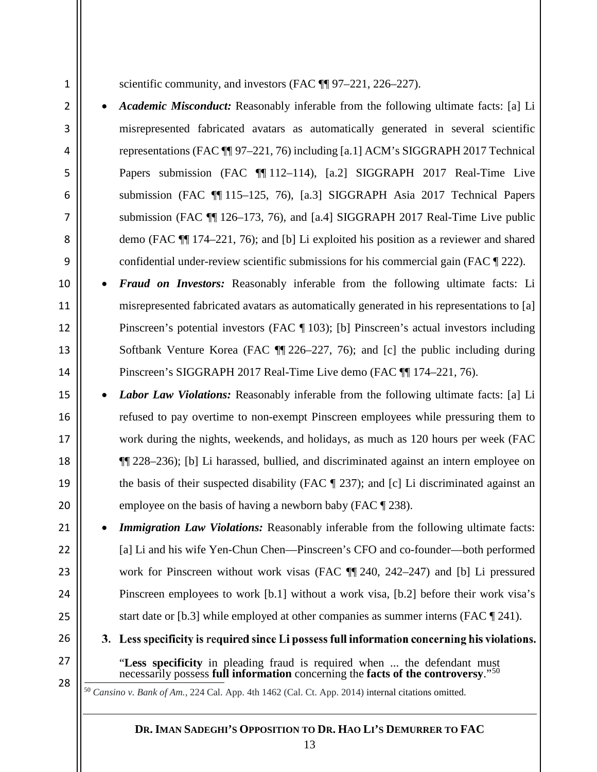2

3

4

5

6

7

8

9

10

11

12

13

14

15

16

17

18

19

20

21

 $22$ 

23

24

25

26

27

<span id="page-13-0"></span>28

scientific community, and investors (FAC  $\P$  97–221, 226–227).

- *Academic Misconduct:* Reasonably inferable from the following ultimate facts: [a] Li misrepresented fabricated avatars as automatically generated in several scientific representations (FAC ¶¶ 97–221, 76) including [a.1] ACM's SIGGRAPH 2017 Technical Papers submission (FAC ¶ 112–114), [a.2] SIGGRAPH 2017 Real-Time Live submission (FAC ¶¶ 115–125, 76), [a.3] SIGGRAPH Asia 2017 Technical Papers submission (FAC ¶¶ 126–173, 76), and [a.4] SIGGRAPH 2017 Real-Time Live public demo (FAC ¶¶ 174–221, 76); and [b] Li exploited his position as a reviewer and shared confidential under-review scientific submissions for his commercial gain (FAC ¶ 222).
- *Fraud on Investors:* Reasonably inferable from the following ultimate facts: Li misrepresented fabricated avatars as automatically generated in his representations to [a] Pinscreen's potential investors (FAC ¶ 103); [b] Pinscreen's actual investors including Softbank Venture Korea (FAC ¶¶ 226–227, 76); and [c] the public including during Pinscreen's SIGGRAPH 2017 Real-Time Live demo (FAC ¶¶ 174–221, 76).
- *Labor Law Violations:* Reasonably inferable from the following ultimate facts: [a] Li refused to pay overtime to non-exempt Pinscreen employees while pressuring them to work during the nights, weekends, and holidays, as much as 120 hours per week (FAC ¶¶ 228–236); [b] Li harassed, bullied, and discriminated against an intern employee on the basis of their suspected disability (FAC ¶ 237); and [c] Li discriminated against an employee on the basis of having a newborn baby (FAC ¶ 238).
- **Immigration Law Violations:** Reasonably inferable from the following ultimate facts: [a] Li and his wife Yen-Chun Chen—Pinscreen's CFO and co-founder—both performed work for Pinscreen without work visas (FAC ¶¶ 240, 242–247) and [b] Li pressured Pinscreen employees to work [b.1] without a work visa, [b.2] before their work visa's start date or [b.3] while employed at other companies as summer interns (FAC ¶ 241).
	- 3. Less specificity is required since Li possess full information concerning his violations.
		- "**Less specificity** in pleading fraud is required when ... the defendant must necessarily possess **full information** concerning the **facts of the controversy**."[50](#page-13-0)

50 *Cansino v. Bank of Am.*, 224 Cal. App. 4th 1462 (Cal. Ct. App. 2014) internal citations omitted.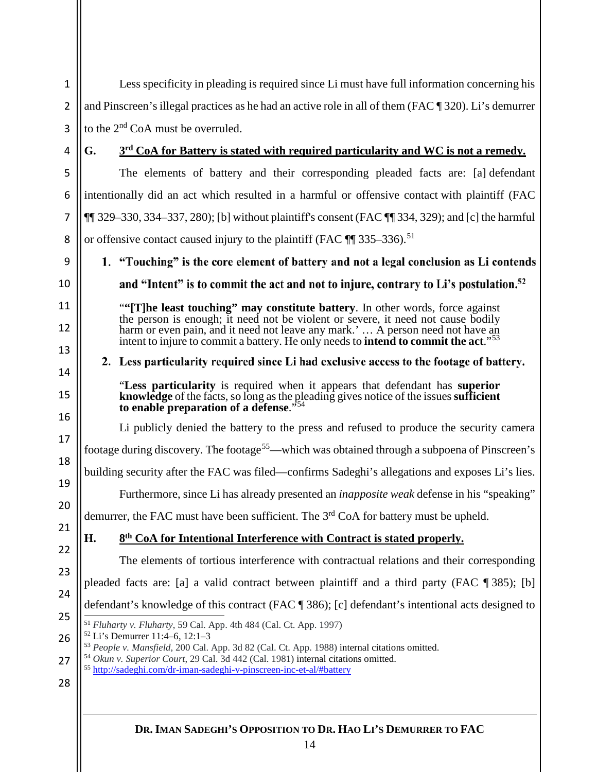<span id="page-14-4"></span><span id="page-14-3"></span><span id="page-14-2"></span><span id="page-14-1"></span><span id="page-14-0"></span>Less specificity in pleading is required since Li must have full information concerning his 1 2 and Pinscreen's illegal practices as he had an active role in all of them (FAC ¶ 320). Li's demurrer 3 to the 2nd CoA must be overruled. **G. 3rd CoA for Battery is stated with required particularity and WC is not a remedy.** 4 5 The elements of battery and their corresponding pleaded facts are: [a] defendant 6 intentionally did an act which resulted in a harmful or offensive contact with plaintiff (FAC 7  $\P$ [[ 329–330, 334–337, 280); [b] without plaintiff's consent (FAC  $\P$ [ 334, 329); and [c] the harmful or offensive contact caused injury to the plaintiff (FAC ¶ 335–336).<sup>[51](#page-14-0)</sup> 8 9 1. "Touching" is the core element of battery and not a legal conclusion as Li contends 10 and "Intent" is to commit the act and not to injure, contrary to Li's postulation.<sup>52</sup> 11 ["](#page-14-1)**"[T]he least touching" may constitute battery**. In other words, force against the person is enough; it need not be violent or severe, it need not cause bodily 12 harm or even pain, and it need not leave any mark.' ... A person need not have an intent to injure to commit a battery. He only needs to **intend to commit the act**."[53](#page-14-2) 13 2. Less particularity required since Li had exclusive access to the footage of battery. 14 "**Less particularity** is required when it appears that defendant has **superior** 15 **knowledge** of the facts, so long as the pleading gives notice of the issues **sufficient** to enable preparation of a defense." 16 Li publicly denied the battery to the press and refused to produce the security camera 17 footage during discovery. The footage<sup>55</sup>—which was obtained through a subpoena of Pinscreen's 18 building security after the FAC was filed—confirms Sadeghi's allegations and exposes Li's lies. 19 Furthermore, since Li has already presented an *inapposite weak* defense in his "speaking" 20 demurrer, the FAC must have been sufficient. The 3<sup>rd</sup> CoA for battery must be upheld. 21 **H. 8th CoA for Intentional Interference with Contract is stated properly.** 22 The elements of tortious interference with contractual relations and their corresponding 23 pleaded facts are: [a] a valid contract between plaintiff and a third party (FAC ¶ 385); [b] 24 defendant's knowledge of this contract (FAC ¶ 386); [c] defendant's intentional acts designed to <sup>51</sup> *Fluharty v. Fluharty*, 59 Cal. App. 4th 484 (Cal. Ct. App. 1997) 25 <sup>52</sup> Li's Demurrer 11:4–6, 12:1–3 26 <sup>53</sup> *People v. Mansfield*, 200 Cal. App. 3d 82 (Cal. Ct. App. 1988) internal citations omitted. <sup>54</sup> *Okun v. Superior Court*, 29 Cal. 3d 442 (Cal. 1981) internal citations omitted. 27 <sup>55</sup> <http://sadeghi.com/dr-iman-sadeghi-v-pinscreen-inc-et-al/#battery>28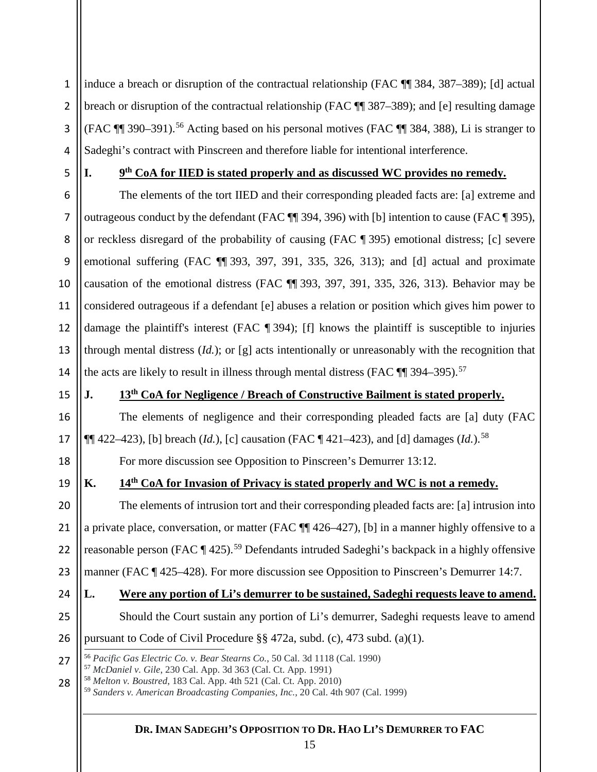1 2 3 4 induce a breach or disruption of the contractual relationship (FAC ¶¶ 384, 387–389); [d] actual breach or disruption of the contractual relationship (FAC ¶¶ 387–389); and [e] resulting damage (FAC ¶¶ 390–391). [56](#page-15-0) Acting based on his personal motives (FAC ¶¶ 384, 388), Li is stranger to Sadeghi's contract with Pinscreen and therefore liable for intentional interference.

5

### **I. 9th CoA for IIED is stated properly and as discussed WC provides no remedy.**

6 7 8 9 10 11 12 13 14 The elements of the tort IIED and their corresponding pleaded facts are: [a] extreme and outrageous conduct by the defendant (FAC ¶¶ 394, 396) with [b] intention to cause (FAC ¶ 395), or reckless disregard of the probability of causing (FAC ¶ 395) emotional distress; [c] severe emotional suffering (FAC ¶¶ 393, 397, 391, 335, 326, 313); and [d] actual and proximate causation of the emotional distress (FAC ¶¶ 393, 397, 391, 335, 326, 313). Behavior may be considered outrageous if a defendant [e] abuses a relation or position which gives him power to damage the plaintiff's interest (FAC ¶ 394); [f] knows the plaintiff is susceptible to injuries through mental distress  $(Id.)$ ; or [g] acts intentionally or unreasonably with the recognition that the acts are likely to result in illness through mental distress (FAC  $\P$  394–395).<sup>[57](#page-15-1)</sup>

15

16

17

18

19

### **J. 13th CoA for Negligence / Breach of Constructive Bailment is stated properly.**

The elements of negligence and their corresponding pleaded facts are [a] duty (FAC  $\P\P$  422–423), [b] breach (*Id.*), [c] causation (FAC  $\P$  421–423), and [d] damages (*Id.*).<sup>[58](#page-15-2)</sup>

For more discussion see Opposition to Pinscreen's Demurrer 13:12.

## **K. 14th CoA for Invasion of Privacy is stated properly and WC is not a remedy.**

20 21 22 23 The elements of intrusion tort and their corresponding pleaded facts are: [a] intrusion into a private place, conversation, or matter (FAC ¶¶ 426–427), [b] in a manner highly offensive to a reasonable person (FAC ¶ 425).<sup>[59](#page-15-3)</sup> Defendants intruded Sadeghi's backpack in a highly offensive manner (FAC ¶ 425–428). For more discussion see Opposition to Pinscreen's Demurrer 14:7.

#### 24 25 **L. Were any portion of Li's demurrer to be sustained, Sadeghi requests leave to amend.**  Should the Court sustain any portion of Li's demurrer, Sadeghi requests leave to amend

26 pursuant to Code of Civil Procedure §§ 472a, subd. (c), 473 subd. (a)(1).<br><sup>56</sup> *Pacific Gas Electric Co. v. Bear Stearns Co.*, 50 Cal. 3d 1118 (Cal. 1990)

<span id="page-15-3"></span><span id="page-15-2"></span>28 <sup>58</sup> *Melton v. Boustred*, 183 Cal. App. 4th 521 (Cal. Ct. App. 2010) <sup>59</sup> *Sanders v. American Broadcasting Companies, Inc.*, 20 Cal. 4th 907 (Cal. 1999)

<span id="page-15-1"></span><span id="page-15-0"></span><sup>27</sup>

<sup>57</sup> *McDaniel v. Gile*, 230 Cal. App. 3d 363 (Cal. Ct. App. 1991)